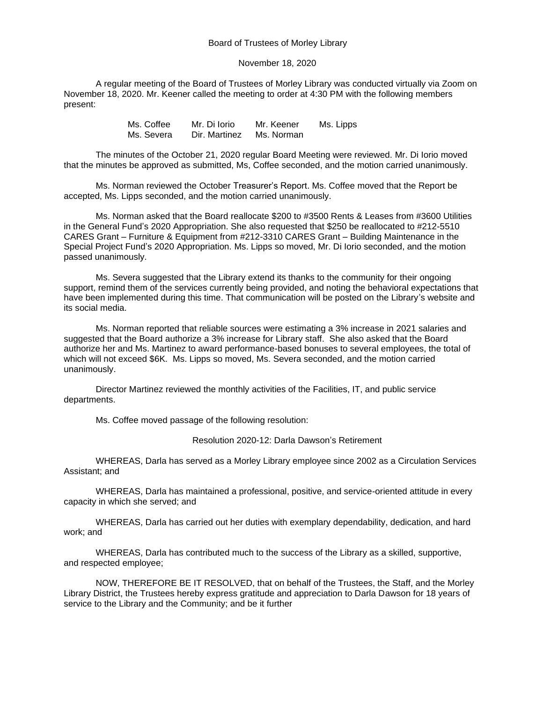## Board of Trustees of Morley Library

## November 18, 2020

A regular meeting of the Board of Trustees of Morley Library was conducted virtually via Zoom on November 18, 2020. Mr. Keener called the meeting to order at 4:30 PM with the following members present:

| Ms. Coffee | Mr. Di Iorio  | Mr. Keener | Ms. Lipps |
|------------|---------------|------------|-----------|
| Ms. Severa | Dir. Martinez | Ms. Norman |           |

The minutes of the October 21, 2020 regular Board Meeting were reviewed. Mr. Di Iorio moved that the minutes be approved as submitted, Ms, Coffee seconded, and the motion carried unanimously.

Ms. Norman reviewed the October Treasurer's Report. Ms. Coffee moved that the Report be accepted, Ms. Lipps seconded, and the motion carried unanimously.

Ms. Norman asked that the Board reallocate \$200 to #3500 Rents & Leases from #3600 Utilities in the General Fund's 2020 Appropriation. She also requested that \$250 be reallocated to #212-5510 CARES Grant – Furniture & Equipment from #212-3310 CARES Grant – Building Maintenance in the Special Project Fund's 2020 Appropriation. Ms. Lipps so moved, Mr. Di Iorio seconded, and the motion passed unanimously.

Ms. Severa suggested that the Library extend its thanks to the community for their ongoing support, remind them of the services currently being provided, and noting the behavioral expectations that have been implemented during this time. That communication will be posted on the Library's website and its social media.

Ms. Norman reported that reliable sources were estimating a 3% increase in 2021 salaries and suggested that the Board authorize a 3% increase for Library staff. She also asked that the Board authorize her and Ms. Martinez to award performance-based bonuses to several employees, the total of which will not exceed \$6K. Ms. Lipps so moved, Ms. Severa seconded, and the motion carried unanimously.

Director Martinez reviewed the monthly activities of the Facilities, IT, and public service departments.

Ms. Coffee moved passage of the following resolution:

Resolution 2020-12: Darla Dawson's Retirement

WHEREAS, Darla has served as a Morley Library employee since 2002 as a Circulation Services Assistant; and

WHEREAS, Darla has maintained a professional, positive, and service-oriented attitude in every capacity in which she served; and

WHEREAS, Darla has carried out her duties with exemplary dependability, dedication, and hard work; and

WHEREAS, Darla has contributed much to the success of the Library as a skilled, supportive, and respected employee;

NOW, THEREFORE BE IT RESOLVED, that on behalf of the Trustees, the Staff, and the Morley Library District, the Trustees hereby express gratitude and appreciation to Darla Dawson for 18 years of service to the Library and the Community; and be it further